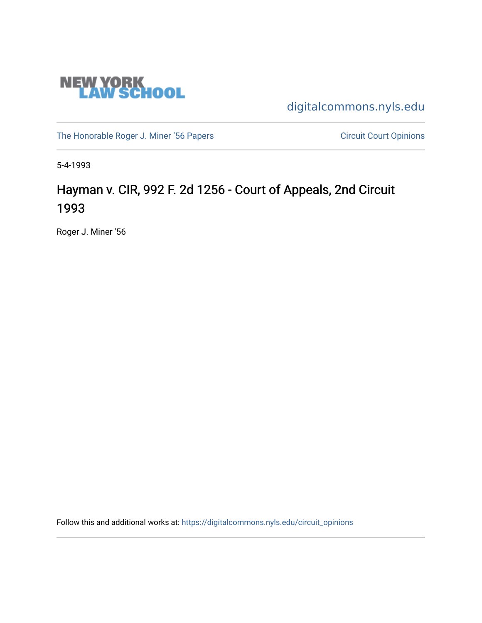

[digitalcommons.nyls.edu](https://digitalcommons.nyls.edu/) 

[The Honorable Roger J. Miner '56 Papers](https://digitalcommons.nyls.edu/miner_papers) Circuit Court Opinions

5-4-1993

# Hayman v. CIR, 992 F. 2d 1256 - Court of Appeals, 2nd Circuit 1993

Roger J. Miner '56

Follow this and additional works at: [https://digitalcommons.nyls.edu/circuit\\_opinions](https://digitalcommons.nyls.edu/circuit_opinions?utm_source=digitalcommons.nyls.edu%2Fcircuit_opinions%2F371&utm_medium=PDF&utm_campaign=PDFCoverPages)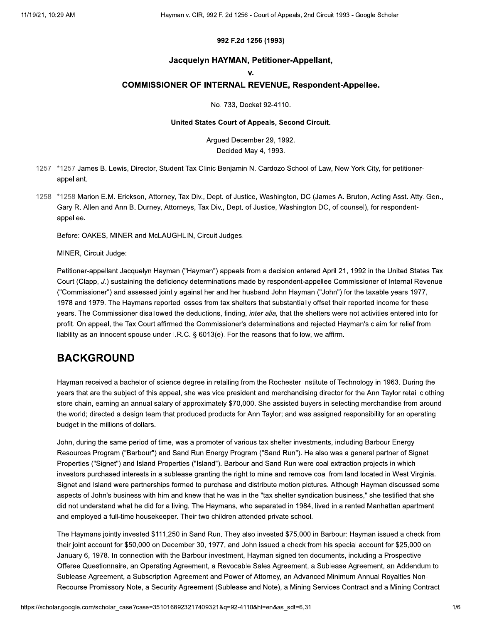### 992 F.2d 1256 (1993)

#### Jacquelyn HAYMAN, Petitioner-Appellant,

#### $\mathbf{V}$

### **COMMISSIONER OF INTERNAL REVENUE, Respondent-Appellee.**

No. 733, Docket 92-4110.

#### United States Court of Appeals, Second Circuit.

Arqued December 29, 1992. Decided May 4, 1993.

- 1257 \*1257 James B. Lewis, Director, Student Tax Clinic Benjamin N. Cardozo School of Law, New York City, for petitionerappellant.
- 1258 \*1258 Marion E.M. Erickson, Attorney, Tax Div., Dept. of Justice, Washington, DC (James A. Bruton, Acting Asst. Atty. Gen., Gary R. Allen and Ann B. Durney, Attorneys, Tax Div., Dept. of Justice, Washington DC, of counsel), for respondentappellee.

Before: OAKES, MINER and McLAUGHLIN, Circuit Judges.

MINER, Circuit Judge:

Petitioner-appellant Jacquelyn Hayman ("Hayman") appeals from a decision entered April 21, 1992 in the United States Tax Court (Clapp, J.) sustaining the deficiency determinations made by respondent-appellee Commissioner of Internal Revenue ("Commissioner") and assessed jointly against her and her husband John Hayman ("John") for the taxable years 1977, 1978 and 1979. The Haymans reported losses from tax shelters that substantially offset their reported income for these years. The Commissioner disallowed the deductions, finding, inter alia, that the shelters were not activities entered into for profit. On appeal, the Tax Court affirmed the Commissioner's determinations and rejected Hayman's claim for relief from liability as an innocent spouse under I.R.C. § 6013(e). For the reasons that follow, we affirm.

### **BACKGROUND**

Hayman received a bachelor of science degree in retailing from the Rochester Institute of Technology in 1963. During the years that are the subject of this appeal, she was vice president and merchandising director for the Ann Taylor retail clothing store chain, earning an annual salary of approximately \$70,000. She assisted buyers in selecting merchandise from around the world; directed a design team that produced products for Ann Taylor; and was assigned responsibility for an operating budget in the millions of dollars.

John, during the same period of time, was a promoter of various tax shelter investments, including Barbour Energy Resources Program ("Barbour") and Sand Run Energy Program ("Sand Run"). He also was a general partner of Signet Properties ("Signet") and Island Properties ("Island"). Barbour and Sand Run were coal extraction projects in which investors purchased interests in a sublease granting the right to mine and remove coal from land located in West Virginia. Signet and Island were partnerships formed to purchase and distribute motion pictures. Although Hayman discussed some aspects of John's business with him and knew that he was in the "tax shelter syndication business," she testified that she did not understand what he did for a living. The Haymans, who separated in 1984, lived in a rented Manhattan apartment and employed a full-time housekeeper. Their two children attended private school.

The Haymans jointly invested \$111,250 in Sand Run. They also invested \$75,000 in Barbour: Hayman issued a check from their joint account for \$50,000 on December 30, 1977, and John issued a check from his special account for \$25,000 on January 6, 1978. In connection with the Barbour investment, Hayman signed ten documents, including a Prospective Offeree Questionnaire, an Operating Agreement, a Revocable Sales Agreement, a Sublease Agreement, an Addendum to Sublease Agreement, a Subscription Agreement and Power of Attorney, an Advanced Minimum Annual Royalties Non-Recourse Promissory Note, a Security Agreement (Sublease and Note), a Mining Services Contract and a Mining Contract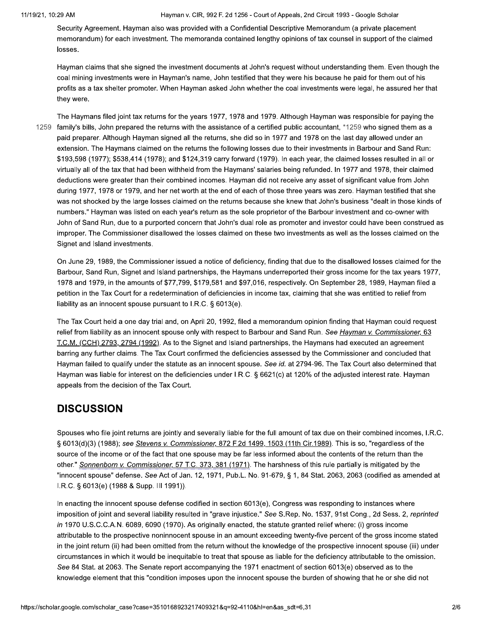Hayman v. CIR, 992 F. 2d 1256 - Court of Appeals, 2nd Circuit 1993 - Google Scholar

Security Agreement. Hayman also was provided with a Confidential Descriptive Memorandum (a private placement memorandum) for each investment. The memoranda contained lengthy opinions of tax counsel in support of the claimed losses.

Hayman claims that she signed the investment documents at John's request without understanding them. Even though the coal mining investments were in Hayman's name, John testified that they were his because he paid for them out of his profits as a tax shelter promoter. When Hayman asked John whether the coal investments were legal, he assured her that they were.

The Haymans filed joint tax returns for the years 1977, 1978 and 1979. Although Hayman was responsible for paying the 1259 family's bills, John prepared the returns with the assistance of a certified public accountant, \*1259 who signed them as a paid preparer. Although Hayman signed all the returns, she did so in 1977 and 1978 on the last day allowed under an extension. The Haymans claimed on the returns the following losses due to their investments in Barbour and Sand Run: \$193,598 (1977); \$538,414 (1978); and \$124,319 carry forward (1979). In each year, the claimed losses resulted in all or virtually all of the tax that had been withheld from the Haymans' salaries being refunded. In 1977 and 1978, their claimed deductions were greater than their combined incomes. Hayman did not receive any asset of significant value from John during 1977, 1978 or 1979, and her net worth at the end of each of those three years was zero. Hayman testified that she was not shocked by the large losses claimed on the returns because she knew that John's business "dealt in those kinds of numbers." Hayman was listed on each year's return as the sole proprietor of the Barbour investment and co-owner with John of Sand Run, due to a purported concern that John's dual role as promoter and investor could have been construed as improper. The Commissioner disallowed the losses claimed on these two investments as well as the losses claimed on the Signet and Island investments.

On June 29, 1989, the Commissioner issued a notice of deficiency, finding that due to the disallowed losses claimed for the Barbour, Sand Run, Signet and Island partnerships, the Haymans underreported their gross income for the tax years 1977, 1978 and 1979, in the amounts of \$77,799, \$179,581 and \$97,016, respectively. On September 28, 1989, Hayman filed a petition in the Tax Court for a redetermination of deficiencies in income tax, claiming that she was entitled to relief from liability as an innocent spouse pursuant to I.R.C. § 6013(e).

The Tax Court held a one day trial and, on April 20, 1992, filed a memorandum opinion finding that Hayman could request relief from liability as an innocent spouse only with respect to Barbour and Sand Run. See Hayman v. Commissioner, 63 T.C.M. (CCH) 2793, 2794 (1992). As to the Signet and Island partnerships, the Haymans had executed an agreement barring any further claims. The Tax Court confirmed the deficiencies assessed by the Commissioner and concluded that Hayman failed to qualify under the statute as an innocent spouse. See id. at 2794-96. The Tax Court also determined that Hayman was liable for interest on the deficiencies under I.R.C. § 6621(c) at 120% of the adjusted interest rate. Hayman appeals from the decision of the Tax Court.

# **DISCUSSION**

Spouses who file joint returns are jointly and severally liable for the full amount of tax due on their combined incomes, I.R.C. § 6013(d)(3) (1988); see Stevens v. Commissioner, 872 F.2d 1499, 1503 (11th Cir.1989). This is so, "regardless of the source of the income or of the fact that one spouse may be far less informed about the contents of the return than the other." Sonnenborn v. Commissioner, 57 T.C. 373, 381 (1971). The harshness of this rule partially is mitigated by the "innocent spouse" defense. See Act of Jan. 12, 1971, Pub.L. No. 91-679, § 1, 84 Stat. 2063, 2063 (codified as amended at I.R.C. § 6013(e) (1988 & Supp. III 1991)).

In enacting the innocent spouse defense codified in section 6013(e), Congress was responding to instances where imposition of joint and several liability resulted in "grave injustice." See S.Rep. No. 1537, 91st Cong., 2d Sess. 2, reprinted in 1970 U.S.C.C.A.N. 6089, 6090 (1970). As originally enacted, the statute granted relief where: (i) gross income attributable to the prospective noninnocent spouse in an amount exceeding twenty-five percent of the gross income stated in the joint return (ii) had been omitted from the return without the knowledge of the prospective innocent spouse (iii) under circumstances in which it would be inequitable to treat that spouse as liable for the deficiency attributable to the omission. See 84 Stat. at 2063. The Senate report accompanying the 1971 enactment of section 6013(e) observed as to the knowledge element that this "condition imposes upon the innocent spouse the burden of showing that he or she did not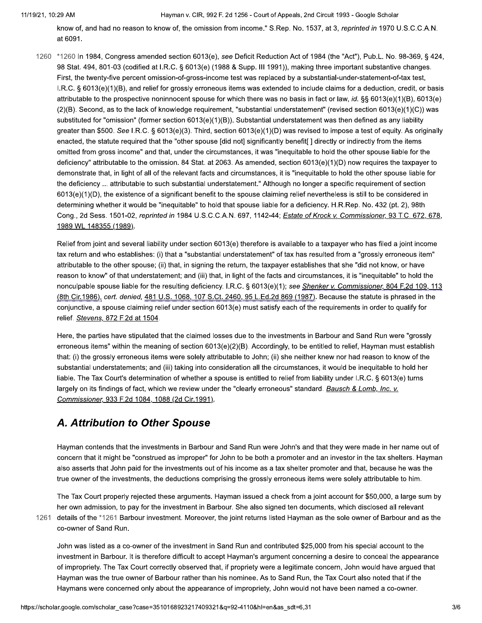Hayman v. CIR, 992 F. 2d 1256 - Court of Appeals, 2nd Circuit 1993 - Google Scholar

know of, and had no reason to know of, the omission from income." S.Rep. No. 1537, at 3, reprinted in 1970 U.S.C.C.A.N. at 6091.

1260 \*1260 In 1984, Congress amended section 6013(e), see Deficit Reduction Act of 1984 (the "Act"), Pub.L. No. 98-369, § 424, 98 Stat. 494, 801-03 (codified at I.R.C. § 6013(e) (1988 & Supp. III 1991)), making three important substantive changes. First, the twenty-five percent omission-of-gross-income test was replaced by a substantial-under-statement-of-tax test, I.R.C. § 6013(e)(1)(B), and relief for grossly erroneous items was extended to include claims for a deduction, credit, or basis attributable to the prospective noninnocent spouse for which there was no basis in fact or law, id. §§ 6013(e)(1)(B), 6013(e) (2)(B). Second, as to the lack of knowledge requirement, "substantial understatement" (revised section 6013(e)(1)(C)) was substituted for "omission" (former section  $6013(e)(1)(B)$ ). Substantial understatement was then defined as any liability greater than \$500. See I.R.C. § 6013(e)(3). Third, section 6013(e)(1)(D) was revised to impose a test of equity. As originally enacted, the statute required that the "other spouse [did not] significantly benefit[] directly or indirectly from the items omitted from gross income" and that, under the circumstances, it was "inequitable to hold the other spouse liable for the deficiency" attributable to the omission. 84 Stat. at 2063. As amended, section  $6013(e)(1)(D)$  now requires the taxpayer to demonstrate that, in light of all of the relevant facts and circumstances, it is "inequitable to hold the other spouse liable for the deficiency ... attributable to such substantial understatement." Although no longer a specific requirement of section 6013(e)(1)(D), the existence of a significant benefit to the spouse claiming relief nevertheless is still to be considered in determining whether it would be "inequitable" to hold that spouse liable for a deficiency. H.R.Rep. No. 432 (pt. 2), 98th Cong., 2d Sess. 1501-02, reprinted in 1984 U.S.C.C.A.N. 697, 1142-44; Estate of Krock v. Commissioner, 93 T.C. 672, 678, 1989 WL 148355 (1989).

Relief from joint and several liability under section 6013(e) therefore is available to a taxpayer who has filed a joint income tax return and who establishes: (i) that a "substantial understatement" of tax has resulted from a "grossly erroneous item" attributable to the other spouse; (ii) that, in signing the return, the taxpayer establishes that she "did not know, or have reason to know" of that understatement; and (iii) that, in light of the facts and circumstances, it is "inequitable" to hold the nonculpable spouse liable for the resulting deficiency. I.R.C. § 6013(e)(1); see Shenker v. Commissioner, 804 F.2d 109, 113 (8th Cir.1986), cert. denied, 481 U.S. 1068, 107 S.Ct. 2460, 95 L.Ed.2d 869 (1987). Because the statute is phrased in the conjunctive, a spouse claiming relief under section 6013(e) must satisfy each of the requirements in order to qualify for relief. Stevens, 872 F.2d at 1504.

Here, the parties have stipulated that the claimed losses due to the investments in Barbour and Sand Run were "grossly erroneous items" within the meaning of section 6013(e)(2)(B). Accordingly, to be entitled to relief, Hayman must establish that: (i) the grossly erroneous items were solely attributable to John; (ii) she neither knew nor had reason to know of the substantial understatements; and (iii) taking into consideration all the circumstances, it would be inequitable to hold her liable. The Tax Court's determination of whether a spouse is entitled to relief from liability under I.R.C. § 6013(e) turns largely on its findings of fact, which we review under the "clearly erroneous" standard. Bausch & Lomb, Inc. v. Commissioner, 933 F.2d 1084, 1088 (2d Cir.1991).

# A. Attribution to Other Spouse

Hayman contends that the investments in Barbour and Sand Run were John's and that they were made in her name out of concern that it might be "construed as improper" for John to be both a promoter and an investor in the tax shelters. Hayman also asserts that John paid for the investments out of his income as a tax shelter promoter and that, because he was the true owner of the investments, the deductions comprising the grossly erroneous items were solely attributable to him.

The Tax Court properly rejected these arguments. Hayman issued a check from a joint account for \$50,000, a large sum by her own admission, to pay for the investment in Barbour. She also signed ten documents, which disclosed all relevant 1261 details of the \*1261 Barbour investment. Moreover, the joint returns listed Hayman as the sole owner of Barbour and as the co-owner of Sand Run.

John was listed as a co-owner of the investment in Sand Run and contributed \$25,000 from his special account to the investment in Barbour. It is therefore difficult to accept Hayman's argument concerning a desire to conceal the appearance of impropriety. The Tax Court correctly observed that, if propriety were a legitimate concern, John would have argued that Hayman was the true owner of Barbour rather than his nominee. As to Sand Run, the Tax Court also noted that if the Haymans were concerned only about the appearance of impropriety, John would not have been named a co-owner.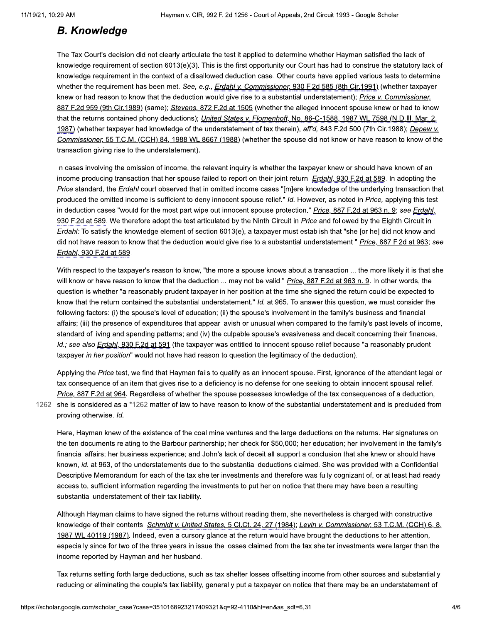### **B. Knowledge**

The Tax Court's decision did not clearly articulate the test it applied to determine whether Hayman satisfied the lack of knowledge requirement of section 6013(e)(3). This is the first opportunity our Court has had to construe the statutory lack of knowledge requirement in the context of a disallowed deduction case. Other courts have applied various tests to determine whether the requirement has been met. See, e.g., Erdahl v. Commissioner, 930 F.2d 585 (8th Cir.1991) (whether taxpayer knew or had reason to know that the deduction would give rise to a substantial understatement); Price v. Commissioner, 887 F.2d 959 (9th Cir.1989) (same); Stevens, 872 F.2d at 1505 (whether the alleged innocent spouse knew or had to know that the returns contained phony deductions); United States v. Flomenhoft, No. 86-C-1588, 1987 WL 7598 (N.D.III. Mar. 2, 1987) (whether taxpayer had knowledge of the understatement of tax therein), aff'd, 843 F.2d 500 (7th Cir.1988); Depew v. Commissioner, 55 T.C.M. (CCH) 84, 1988 WL 8667 (1988) (whether the spouse did not know or have reason to know of the transaction giving rise to the understatement).

In cases involving the omission of income, the relevant inquiry is whether the taxpayer knew or should have known of an income producing transaction that her spouse failed to report on their joint return. Erdahl, 930 F.2d at 589. In adopting the Price standard, the Erdahl court observed that in omitted income cases "[m]ere knowledge of the underlying transaction that produced the omitted income is sufficient to deny innocent spouse relief." Id. However, as noted in Price, applying this test in deduction cases "would for the most part wipe out innocent spouse protection." Price, 887 F.2d at 963 n. 9; see Erdahl, 930 F.2d at 589. We therefore adopt the test articulated by the Ninth Circuit in Price and followed by the Eighth Circuit in Erdahl: To satisfy the knowledge element of section 6013(e), a taxpayer must establish that "she [or he] did not know and did not have reason to know that the deduction would give rise to a substantial understatement." Price, 887 F.2d at 963; see Erdahl, 930 F.2d at 589.

With respect to the taxpayer's reason to know, "the more a spouse knows about a transaction ... the more likely it is that she will know or have reason to know that the deduction ... may not be valid." Price, 887 F.2d at 963 n. 9. In other words, the question is whether "a reasonably prudent taxpayer in her position at the time she signed the return could be expected to know that the return contained the substantial understatement." Id. at 965. To answer this question, we must consider the following factors: (i) the spouse's level of education; (ii) the spouse's involvement in the family's business and financial affairs; (iii) the presence of expenditures that appear lavish or unusual when compared to the family's past levels of income, standard of living and spending patterns; and (iv) the culpable spouse's evasiveness and deceit concerning their finances. Id.; see also Erdahl, 930 F.2d at 591 (the taxpayer was entitled to innocent spouse relief because "a reasonably prudent taxpayer in her position" would not have had reason to question the legitimacy of the deduction).

Applying the Price test, we find that Hayman fails to qualify as an innocent spouse. First, ignorance of the attendant legal or tax consequence of an item that gives rise to a deficiency is no defense for one seeking to obtain innocent spousal relief. Price, 887 F.2d at 964. Regardless of whether the spouse possesses knowledge of the tax consequences of a deduction,

1262 she is considered as a \*1262 matter of law to have reason to know of the substantial understatement and is precluded from proving otherwise. Id.

Here, Hayman knew of the existence of the coal mine ventures and the large deductions on the returns. Her signatures on the ten documents relating to the Barbour partnership; her check for \$50,000; her education; her involvement in the family's financial affairs; her business experience; and John's lack of deceit all support a conclusion that she knew or should have known, id. at 963, of the understatements due to the substantial deductions claimed. She was provided with a Confidential Descriptive Memorandum for each of the tax shelter investments and therefore was fully cognizant of, or at least had ready access to, sufficient information regarding the investments to put her on notice that there may have been a resulting substantial understatement of their tax liability.

Although Hayman claims to have signed the returns without reading them, she nevertheless is charged with constructive knowledge of their contents. Schmidt v. United States, 5 Cl.Ct. 24, 27 (1984); Levin v. Commissioner, 53 T.C.M. (CCH) 6, 8, 1987 WL 40119 (1987). Indeed, even a cursory glance at the return would have brought the deductions to her attention, especially since for two of the three years in issue the losses claimed from the tax shelter investments were larger than the income reported by Hayman and her husband.

Tax returns setting forth large deductions, such as tax shelter losses offsetting income from other sources and substantially reducing or eliminating the couple's tax liability, generally put a taxpayer on notice that there may be an understatement of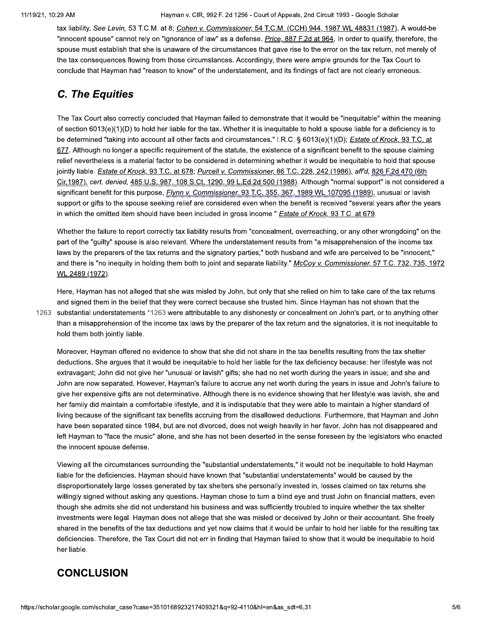Hayman v. CIR, 992 F. 2d 1256 - Court of Appeals, 2nd Circuit 1993 - Google Scholar

tax liability. See Levin, 53 T.C.M. at 8; Cohen v. Commissioner, 54 T.C.M. (CCH) 944, 1987 WL 48831 (1987). A would-be "innocent spouse" cannot rely on "ignorance of law" as a defense. Price, 887 F.2d at 964. In order to qualify, therefore, the spouse must establish that she is unaware of the circumstances that gave rise to the error on the tax return, not merely of the tax consequences flowing from those circumstances. Accordingly, there were ample grounds for the Tax Court to conclude that Hayman had "reason to know" of the understatement, and its findings of fact are not clearly erroneous.

# **C. The Equities**

The Tax Court also correctly concluded that Hayman failed to demonstrate that it would be "inequitable" within the meaning of section 6013(e)(1)(D) to hold her liable for the tax. Whether it is inequitable to hold a spouse liable for a deficiency is to be determined "taking into account all other facts and circumstances." I.R.C. § 6013(e)(1)(D); Estate of Krock, 93 T.C. at 677. Although no longer a specific requirement of the statute, the existence of a significant benefit to the spouse claiming relief nevertheless is a material factor to be considered in determining whether it would be inequitable to hold that spouse jointly liable. Estate of Krock, 93 T.C. at 678; Purcell v. Commissioner, 86 T.C. 228, 242 (1986), aff'd, 826 F.2d 470 (6th Cir.1987), cert. denied, 485 U.S. 987, 108 S.Ct. 1290, 99 L.Ed.2d 500 (1988). Although "normal support" is not considered a significant benefit for this purpose, *Flynn v. Commissioner*, 93 T.C. 355, 367, 1989 WL 107095 (1989), unusual or lavish support or gifts to the spouse seeking relief are considered even when the benefit is received "several years after the years in which the omitted item should have been included in gross income." Estate of Krock, 93 T.C. at 679.

Whether the failure to report correctly tax liability results from "concealment, overreaching, or any other wrongdoing" on the part of the "guilty" spouse is also relevant. Where the understatement results from "a misapprehension of the income tax laws by the preparers of the tax returns and the signatory parties," both husband and wife are perceived to be "innocent," and there is "no inequity in holding them both to joint and separate liability." McCoy v. Commissioner, 57 T.C. 732, 735, 1972 WL 2489 (1972).

Here, Hayman has not alleged that she was misled by John, but only that she relied on him to take care of the tax returns and signed them in the belief that they were correct because she trusted him. Since Hayman has not shown that the 1263 substantial understatements \*1263 were attributable to any dishonesty or concealment on John's part, or to anything other than a misapprehension of the income tax laws by the preparer of the tax return and the signatories, it is not inequitable to hold them both jointly liable.

Moreover, Hayman offered no evidence to show that she did not share in the tax benefits resulting from the tax shelter deductions. She argues that it would be inequitable to hold her liable for the tax deficiency because: her lifestyle was not extravagant; John did not give her "unusual or lavish" gifts; she had no net worth during the years in issue; and she and John are now separated. However, Hayman's failure to accrue any net worth during the years in issue and John's failure to give her expensive gifts are not determinative. Although there is no evidence showing that her lifestyle was lavish, she and her family did maintain a comfortable lifestyle, and it is indisputable that they were able to maintain a higher standard of living because of the significant tax benefits accruing from the disallowed deductions. Furthermore, that Hayman and John have been separated since 1984, but are not divorced, does not weigh heavily in her favor. John has not disappeared and left Hayman to "face the music" alone, and she has not been deserted in the sense foreseen by the legislators who enacted the innocent spouse defense.

Viewing all the circumstances surrounding the "substantial understatements," it would not be inequitable to hold Hayman liable for the deficiencies. Hayman should have known that "substantial understatements" would be caused by the disproportionately large losses generated by tax shelters she personally invested in, losses claimed on tax returns she willingly signed without asking any questions. Hayman chose to turn a blind eye and trust John on financial matters, even though she admits she did not understand his business and was sufficiently troubled to inquire whether the tax shelter investments were legal. Hayman does not allege that she was misled or deceived by John or their accountant. She freely shared in the benefits of the tax deductions and yet now claims that it would be unfair to hold her liable for the resulting tax deficiencies. Therefore, the Tax Court did not err in finding that Hayman failed to show that it would be inequitable to hold her liable.

### **CONCLUSION**